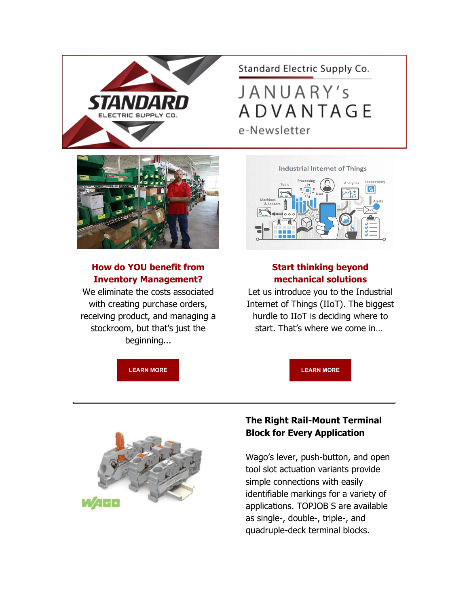

Standard Electric Supply Co.

JANUARY's **ADVANTAGE** e-Newsletter



# **How do YOU benefit from Inventory Management?**

We eliminate the costs associated with creating purchase orders, receiving product, and managing a stockroom, but that's just the beginning...

**Industrial Internet of Things** 



## **Start thinking beyond mechanical solutions**

Let us introduce you to the Industrial Internet of Things (IIoT). The biggest hurdle to IIoT is deciding where to start. That's where we come in…

**[LEARN MORE](https://info.standardelectricsupply.com/e2t/tc/VVDqzN36vdSNW9lpl497dcYxfW6L2xF54cjqCTN2x86zk3p_b1V1-WJV7CgS3GW3xrFLr8FsY6JW6WjxLj4t9HxTW3PHNyR2m81VGW1WrLz94pk7XSW74_6bd3F4Dl2W41-Sxv67f5RFW8D7xcX2Y75wHW30nvxT4svVbvW7_fDn0832-GSVSxbLC7qLJYFW7x11Rc65bgdLN5bfM40zcKTVW7Zs6Fd2L66fwW81LLR77_DsqMW70DCP526lPFdW80lh4D9h1jTSW1-3H8-5lfmDhW1ZbnQ56prVFhVKMPHt8Y6RtvW1db0XY1g9CLlW12gLp72pzhrQN3xC_Jhvqc6xW2Cr_jm2f1gdMW80QGwh38-NrmN834N-FWXx4pW3fsd5L7RgvGFW6tWKvp939Dw4W3kKzln5TbQ-LW6pG9-n89W5xgN2Vw8RQR_R7D3cPS1) LEARN MORE** 



## **The Right Rail-Mount Terminal Block for Every Application**

Wago's lever, push-button, and open tool slot actuation variants provide simple connections with easily identifiable markings for a variety of applications. TOPJOB S are available as single-, double-, triple-, and quadruple-deck terminal blocks.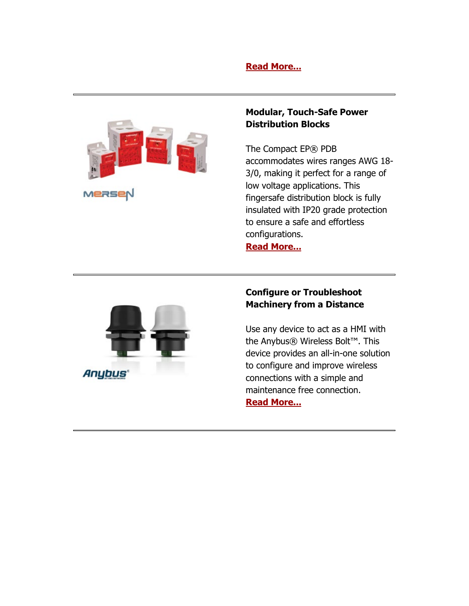### **[Read More...](https://info.standardelectricsupply.com/e2t/tc/VVDqzN36vdSNW9lpl497dcYxfW6L2xF54cjqCTN2x86z13p_9LV1-WJV7CgWqmW2tHG797D3pWbV1mZX26YC_w0W7bKkqv6nfHTHW94rMdq41L5V0W41V3Fq8lTvXLW5l4MJK19pR0hN9hyG64c0q7JW4M1J_F1zwD16N2fPsD76QgzBW3W_QxT1r4JgdW4-mk4v97TxC3W8clFhw995mMZVwxpZ-1swr-PW3LPn_K31qn90N2x4nSBgDF_RW7l2MjQ7RXjvjN4-ZXFbxF6cxW2qY4Wg8KmDP9N4S61pyYv3fCW3SByTw2qRS87W2v0FMY6X0yChVv_fKr40Qw6rW5vzLZd8tTBD6W28mqTq1_GF3NW4XsfnW7LV1sYW6NXV3X8pj_ZfW8j3ZYj82lcrdW8Cz_Vl1FMdZY3cDH1)**



#### **Modular, Touch-Safe Power Distribution Blocks**

The Compact EP® PDB accommodates wires ranges AWG 18- 3/0, making it perfect for a range of low voltage applications. This fingersafe distribution block is fully insulated with IP20 grade protection to ensure a safe and effortless configurations.

**[Read More...](https://info.standardelectricsupply.com/e2t/tc/VVDqzN36vdSNW9lpl497dcYxfW6L2xF54cjqCTN2x86xy5nxGrV3Zsc37CgV6RVPwdy_6YscQDW2WBy-s2nxf7_W1Fs5rX6p_Z-pW5QtBbX8WttW7W74Lhmn23K_3YW1b3nB14Pst8BW4sNzmZ7_nqnzW4sxzN054Rc6DW4mC5Cz3sPy_MW8WnxWW2D3vBLW90fnFw5GK7wCW4-Nh0B3YSFVXW6dwvqk5K2j15W8Vgq9B1TG28VW7db0G38J_nGMW6Ks0Lc162C5tW4RmpbW3lRFN1N7CtfHVYqPcQW6cSPgk60cTFhW8cZGqv5ql-ltW7TsTkd1jjl0LW4ccm0h6g91YtW6Np5Hc4M4W8vW7kwDqL4PB4WfN2tfnkPCdfBSW77jl_Y8fF1h7W2-Xr9X5SB3myW42vSZR3CwGcTW1Yk0xn4Xh3KFV5tMPS3-LW6WW1tClfb8GPWHKF44wH-_HjshVKtsb95gqFkFW5WrQLF6zg0lf3h4l1)**



### **Configure or Troubleshoot Machinery from a Distance**

Use any device to act as a HMI with the Anybus® Wireless Bolt™. This device provides an all-in-one solution to configure and improve wireless connections with a simple and maintenance free connection.

#### **[Read More...](https://info.standardelectricsupply.com/e2t/tc/VVDqzN36vdSNW9lpl497dcYxfW6L2xF54cjqCTN2x86xf5nxG7V3Zsc37CgZcGN3XC5x43GDkZW8vHdn58yvrK0W83xgMX7h1LFqW3H_-rd6dL9m4W4BH53n8J83DxW9kXt_n5724ZVW56tpFm2j9FY3W1KVc0c79FJprW7kLCsr72f8_XW7QQy7V9grZTpV-hxrH5LygLGW7mM-4T2mtCtfW8vdnDm69LVv1W9m34xG5qBqH4N5Bj4Bp1ZRD_W5YklwH2m_CGPW6wnWBg6SC5D1W71YHLs22P4fMW1M8STl2RScf9N1RjhlCLWZssW7_vZyH4NqMcLW2f5cw57vJ8cDVqmC_1312lHlW7Nvh8N51mr75N6RqqfDYYzWpW7YxSPV1Z23x8W5WR7cB4fp3LzN9bsR6mlbM2DW4qdKwN37yDVbW8fcps211MhcPW4LmLw182S_m1W6D2w_G3rXdLJ3gDh1)**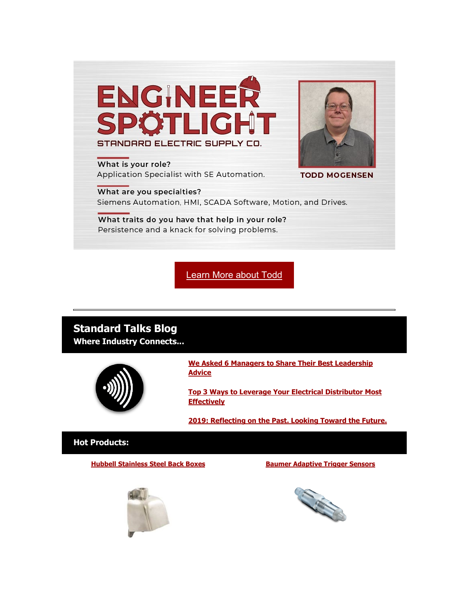

What is your role? Application Specialist with SE Automation.



**TODD MOGENSEN** 

What are you specialties? Siemens Automation, HMI, SCADA Software, Motion, and Drives.

What traits do you have that help in your role? Persistence and a knack for solving problems.

[Learn More about Todd](https://info.standardelectricsupply.com/e2t/tc/VVDqzN36vdSNW9lpl497dcYxfW6L2xF54cjqCTN2x86xf5nxG7V3Zsc37CgzZKW1ZVqd57yZNc2W5XXZFD58M-8tN942xgdl-KzWW32-p_D8Vjw0PW2-HFJk4D3YKwW1xb2Gv7hkBRmW2Jmzl13vksj_W3LBwhQ4nDJsyW544D6j74K6wyW2RZZJt15lWgPW4rxG2j5pnwgBW79gbSZ1GWHQLW4yn-2z7_KnQCW1SmpYx5yfP25W5Lzfsh5XVjzjW73P4PN7yyvrNW7-Zl2w6X6y67W2wlQFp8RYGd5Vp_MCX5yfRN5W5C8zL_20nhT2W4PJFbz4gSnJ2W5gcm8s7M2cRnN7S8gV_FLkYVVHjxv46TqFP9W4XRjsK5bQPtfW2XSv4n3CQmmJW2Sts-z6pdGgzW21Zvg51WlGtqW13Gywf671nr0W5T7npM7jwwvlW7-Q9HQ5Hss3lVvBVGt5DNmG-349v1)

# **Standard Talks Blog**

**Where Industry Connects...**



**[We Asked 6 Managers to Share Their Best Leadership](https://info.standardelectricsupply.com/e2t/tc/VVDqzN36vdSNW9lpl497dcYxfW6L2xF54cjqCTN2x86xf5nxG7V3Zsc37CgTTzW8tbTGM3CtJ0rW5g986Y3DgwjLW2RPCtk1wl51qN4pk1ywWt9gJW5yQfN76lhh1sW2zN0vB7zM2YPW5HhSDN2TZDDcW6nD3Gn87Qn0mW8SQx2X2TdW0vW9d8w785Tp5ndW3wbr086D2fqNW3MJCts5fMV-qW73xdyB12vZStW2fyZVg709DbxW6qd5KS79dwMXW4h8MFh7k_KBHW4P6Gp15NYgHgN64NqvxWY7BXN1706bRHc9T9W43Zl0t2Hw9DTN9bglLwDJjqDW1WZbGh8LVQH6W2M2dsG8V8L22W5YS-xs97BgL-W6jwDdQ99HY0bV7DLjt8jDWwjW3lQrz526Sf_JW39NCs-2_pv5HW3CBVR48W3r6MW7ghnty4PtQxsW4tMDRk4TSL7XW8Tv6y977yk02330M1)  [Advice](https://info.standardelectricsupply.com/e2t/tc/VVDqzN36vdSNW9lpl497dcYxfW6L2xF54cjqCTN2x86xf5nxG7V3Zsc37CgTTzW8tbTGM3CtJ0rW5g986Y3DgwjLW2RPCtk1wl51qN4pk1ywWt9gJW5yQfN76lhh1sW2zN0vB7zM2YPW5HhSDN2TZDDcW6nD3Gn87Qn0mW8SQx2X2TdW0vW9d8w785Tp5ndW3wbr086D2fqNW3MJCts5fMV-qW73xdyB12vZStW2fyZVg709DbxW6qd5KS79dwMXW4h8MFh7k_KBHW4P6Gp15NYgHgN64NqvxWY7BXN1706bRHc9T9W43Zl0t2Hw9DTN9bglLwDJjqDW1WZbGh8LVQH6W2M2dsG8V8L22W5YS-xs97BgL-W6jwDdQ99HY0bV7DLjt8jDWwjW3lQrz526Sf_JW39NCs-2_pv5HW3CBVR48W3r6MW7ghnty4PtQxsW4tMDRk4TSL7XW8Tv6y977yk02330M1)**

**[Top 3 Ways to Leverage Your Electrical Distributor Most](https://info.standardelectricsupply.com/e2t/tc/VVDqzN36vdSNW9lpl497dcYxfW6L2xF54cjqCTN2x86xy5nxGrV3Zsc37CgLD0W7Z1HbL8WwHxmW5-pJnj8NvQMcW5nJG4-6VbQN0W2SDJ2R19sRDcW3RwwdY75ZdwYVpjXmS69fP--W1tVmb28kSllRW66wfB88LVVxHVQ8MGQ8xBTCgVV07Mm4wXggTW78T6PD5k6W_jW9lc5CX1kR_2KV74Z-56vBtwbW80S7HT54Lf-FW6fZQ1C7BLsDYW5lw85d3LTvhLW98rCz34-fV7HN4xhGcHysp8MW1vv5mm3dNgJFN2KLgDv_vHdzW2h9s9S5f4BjMW2z7Tm529YykVW8X1-6S6zX29HW5H9GCr7DkBVCW6FnwPZ66_L04W36_Bf_4Khk7SW1YwlFF15gTpsW6ZmBYm6qTMv7M7C98lTJGBTW3g6mNL10DN2-W6bqjys2QqyCyW1mPpxk3cCP3CVx1d7N1Jt92LN1kCZfgr0ZPN3fVw1)  [Effectively](https://info.standardelectricsupply.com/e2t/tc/VVDqzN36vdSNW9lpl497dcYxfW6L2xF54cjqCTN2x86xy5nxGrV3Zsc37CgLD0W7Z1HbL8WwHxmW5-pJnj8NvQMcW5nJG4-6VbQN0W2SDJ2R19sRDcW3RwwdY75ZdwYVpjXmS69fP--W1tVmb28kSllRW66wfB88LVVxHVQ8MGQ8xBTCgVV07Mm4wXggTW78T6PD5k6W_jW9lc5CX1kR_2KV74Z-56vBtwbW80S7HT54Lf-FW6fZQ1C7BLsDYW5lw85d3LTvhLW98rCz34-fV7HN4xhGcHysp8MW1vv5mm3dNgJFN2KLgDv_vHdzW2h9s9S5f4BjMW2z7Tm529YykVW8X1-6S6zX29HW5H9GCr7DkBVCW6FnwPZ66_L04W36_Bf_4Khk7SW1YwlFF15gTpsW6ZmBYm6qTMv7M7C98lTJGBTW3g6mNL10DN2-W6bqjys2QqyCyW1mPpxk3cCP3CVx1d7N1Jt92LN1kCZfgr0ZPN3fVw1)**

**[2019: Reflecting on the Past. Looking Toward the Future.](https://info.standardelectricsupply.com/e2t/tc/VVDqzN36vdSNW9lpl497dcYxfW6L2xF54cjqCTN2x86xf5nxG7V3Zsc37CgBJSW94_mtT4bPzVpW6lpy0B7rgVLnW7LR7h316l_P3W4zr0YG16LkDCVcKKbg6z57qyW6jz4Xz7rv-nPW4v1RRN4W_scmM9hFm_KSLTVN8FDpZZwJNPsW7VV8Lt6ql5QRW7yVY2467G1cRVDqcqW8LVCVrW8Clwyk6ZXgg9W64CFHW1l0YFwW1qGp776frpjDN4sh0Tdt8H9lW8GmGpP2s2pGKW565XY31NBqqGW7qLLJ96RBqqfW4H_j6F4ThWDpW1TBDD540YkZQW48cSmH6y_HQMW5sdmj61DR644V_5f4-3__49qW7Zj8pS8HGXtjW3clh6N29VTH6W91gL5d1NVfwdW5t9Zqz3rLXcJW7JnFVN1h60WQVF8tMM5tN33DW68D6lj5XKMT9VvyNf57wCl7B3cDv1)**

#### **Hot Products:**

**[Hubbell Stainless Steel Back Boxes](https://info.standardelectricsupply.com/e2t/tc/VVDqzN36vdSNW9lpl497dcYxfW6L2xF54cjqCTN2x86zk3p_b1V1-WJV7CgZ43W5mC55M2R5RR4W7cVsqQ3Cx4DHW1RBvVJ8F9NByW3dk7zz8QXDQvVk6qW06WpML9W2DHmk24DZ8gZW4dcDJm4hLmnHN7K_yt5tXXJYW6C0zSZ7j21FDW2RBtfw2qrQfpW3589mm69_vDBW7NqjsG1VWf8kW1pKrDN3CJG0CW2gXm7L6Y3WszW2NYqG38Gp_8yVd-Yb34l0P2MW36jMkJ7x28KQW1kMrSv1GPwwVW8C9Kp16Fd8M7W61rvZ-2V-mkGW16zgc188Xp1sW6jt0z5722prZN5l7LS3srWZ1W84DSN962s0hvVC4W1f7jr4jFW5c5FZ_7p-gzYW1_vFjD16V_yTW1fxQXs7FxhyGW2HMD976FP8frW3ZDWj07-lfTn38Cg1) [Baumer Adaptive Trigger Sensors](https://info.standardelectricsupply.com/e2t/tc/VVDqzN36vdSNW9lpl497dcYxfW6L2xF54cjqCTN2x86zk3p_b1V1-WJV7CgNfNW4zH16L4Ksx3RW19Rlkj3sX5XNW7CLp3_3ZgfQSN51DtVS8lk6NN7Hdrb11Jg5FN6c73S74BJNDW6MzqFS5b2t6jW6Lnm2-1XxhYnW2Fh5kY6pyZRbW4zpqcp4LJzK3N7pnDmYPM14ZVZN7nm2ckzW6W9b0WC53l_wl6W1VdRsC6hXn88W4x5Rnn6DvczRW8vZhK01vMQhYW4Btgwz884MTYW5Gr4k661_tY2W8W89hJ2q0d1jW7YZggd3sT177N9hfGmKHc2ttW3XfJf55B2HvRW5-z5p88DW4JNW7LcJDn2nfWYFW6CQY0d3BV8jnMS5CnmGFK4nN6CfcWGMPV46W7z_9c04LvFpGW1JsSB87xXpBmN6hQjcPX-B2k31nW1)**